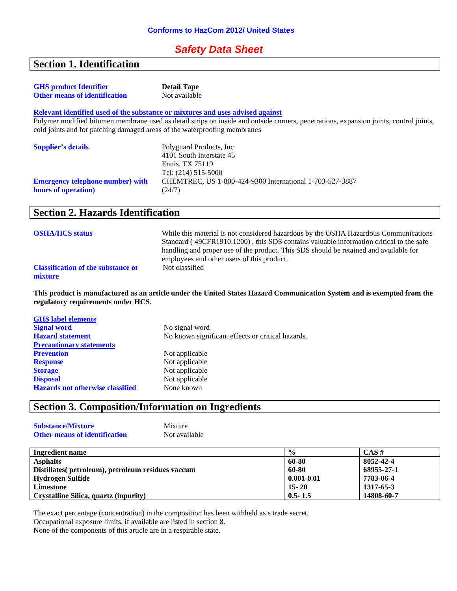## *Safety Data Sheet*

## **Section 1. Identification**

| <b>GHS</b> product Identifier                                             | <b>Detail Tape</b>                                                                                                                     |
|---------------------------------------------------------------------------|----------------------------------------------------------------------------------------------------------------------------------------|
| <b>Other means of identification</b>                                      | Not available                                                                                                                          |
|                                                                           | Relevant identified used of the substance or mixtures and uses advised against                                                         |
|                                                                           | Polymer modified bitumen membrane used as detail strips on inside and outside corners, penetrations, expansion joints, control joints, |
| cold joints and for patching damaged areas of the waterproofing membranes |                                                                                                                                        |
| <b>Supplier's details</b>                                                 | Polyguard Products, Inc.                                                                                                               |
|                                                                           | 4101 South Interstate 45                                                                                                               |
|                                                                           | Ennis, TX 75119                                                                                                                        |
|                                                                           | Tel: (214) 515-5000                                                                                                                    |
| <b>Emergency telephone number)</b> with                                   | CHEMTREC, US 1-800-424-9300 International 1-703-527-3887                                                                               |

(24/7)

## **Section 2. Hazards Identification**

**hours of operation)**

| <b>OSHA/HCS status</b>                               | While this material is not considered hazardous by the OSHA Hazardous Communications<br>Standard (49CFR1910.1200), this SDS contains valuable information critical to the safe<br>handling and proper use of the product. This SDS should be retained and available for<br>employees and other users of this product. |
|------------------------------------------------------|-----------------------------------------------------------------------------------------------------------------------------------------------------------------------------------------------------------------------------------------------------------------------------------------------------------------------|
| <b>Classification of the substance or</b><br>mixture | Not classified                                                                                                                                                                                                                                                                                                        |

**This product is manufactured as an article under the United States Hazard Communication System and is exempted from the regulatory requirements under HCS.**

| <b>GHS</b> label elements               |                                                   |
|-----------------------------------------|---------------------------------------------------|
| <b>Signal word</b>                      | No signal word                                    |
| <b>Hazard statement</b>                 | No known significant effects or critical hazards. |
| <b>Precautionary statements</b>         |                                                   |
| <b>Prevention</b>                       | Not applicable                                    |
| <b>Response</b>                         | Not applicable                                    |
| <b>Storage</b>                          | Not applicable                                    |
| <b>Disposal</b>                         | Not applicable                                    |
| <b>Hazards not otherwise classified</b> | None known                                        |

## **Section 3. Composition/Information on Ingredients**

| <b>Substance/Mixture</b>             | Mixture       |
|--------------------------------------|---------------|
| <b>Other means of identification</b> | Not available |

| Ingredient name                                    | $\frac{0}{0}$  | $CAS \#$   |
|----------------------------------------------------|----------------|------------|
| <b>Asphalts</b>                                    | 60-80          | 8052-42-4  |
| Distillates (petroleum), petroleum residues vaccum | 60-80          | 68955-27-1 |
| Hydrogen Sulfide                                   | $0.001 - 0.01$ | 7783-06-4  |
| Limestone                                          | $15 - 20$      | 1317-65-3  |
| Crystalline Silica, quartz (inpurity)              | $0.5 - 1.5$    | 14808-60-7 |

The exact percentage (concentration) in the composition has been withheld as a trade secret.

Occupational exposure limits, if available are listed in section 8.

None of the components of this article are in a respirable state.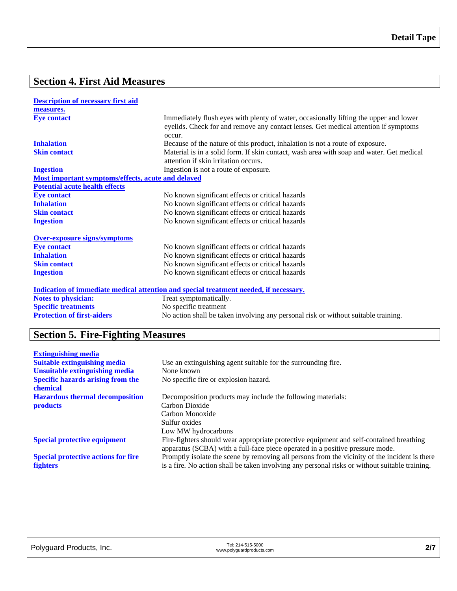## **Section 4. First Aid Measures**

| <b>Description of necessary first aid</b>          |                                                                                                                                                                                        |
|----------------------------------------------------|----------------------------------------------------------------------------------------------------------------------------------------------------------------------------------------|
| measures.                                          |                                                                                                                                                                                        |
| <b>Eye contact</b>                                 | Immediately flush eyes with plenty of water, occasionally lifting the upper and lower<br>eyelids. Check for and remove any contact lenses. Get medical attention if symptoms<br>occur. |
| <b>Inhalation</b>                                  | Because of the nature of this product, inhalation is not a route of exposure.                                                                                                          |
| <b>Skin contact</b>                                | Material is in a solid form. If skin contact, wash area with soap and water. Get medical<br>attention if skin irritation occurs.                                                       |
| <b>Ingestion</b>                                   | Ingestion is not a route of exposure.                                                                                                                                                  |
| Most important symptoms/effects, acute and delayed |                                                                                                                                                                                        |
| <b>Potential acute health effects</b>              |                                                                                                                                                                                        |
| <b>Eye contact</b>                                 | No known significant effects or critical hazards                                                                                                                                       |
| <b>Inhalation</b>                                  | No known significant effects or critical hazards                                                                                                                                       |
| <b>Skin contact</b>                                | No known significant effects or critical hazards                                                                                                                                       |
| <b>Ingestion</b>                                   | No known significant effects or critical hazards                                                                                                                                       |
| <b>Over-exposure signs/symptoms</b>                |                                                                                                                                                                                        |
| <b>Eye contact</b>                                 | No known significant effects or critical hazards                                                                                                                                       |
| <b>Inhalation</b>                                  | No known significant effects or critical hazards                                                                                                                                       |
| <b>Skin contact</b>                                | No known significant effects or critical hazards                                                                                                                                       |
| <b>Ingestion</b>                                   | No known significant effects or critical hazards                                                                                                                                       |
|                                                    | <u>Indication of immediate medical attention and special treatment needed, if necessary.</u>                                                                                           |
| <b>Notes to physician:</b>                         | Treat symptomatically.                                                                                                                                                                 |
| <b>Specific treatments</b>                         | No specific treatment                                                                                                                                                                  |
| <b>Protection of first-aiders</b>                  | No action shall be taken involving any personal risk or without suitable training.                                                                                                     |

# **Section 5. Fire-Fighting Measures**

| <b>Extinguishing media</b>                 |                                                                                                |
|--------------------------------------------|------------------------------------------------------------------------------------------------|
| <b>Suitable extinguishing media</b>        | Use an extinguishing agent suitable for the surrounding fire.                                  |
| <b>Unsuitable extinguishing media</b>      | None known                                                                                     |
| <b>Specific hazards arising from the</b>   | No specific fire or explosion hazard.                                                          |
| chemical                                   |                                                                                                |
| <b>Hazardous thermal decomposition</b>     | Decomposition products may include the following materials:                                    |
| <b>products</b>                            | Carbon Dioxide                                                                                 |
|                                            | Carbon Monoxide                                                                                |
|                                            | Sulfur oxides                                                                                  |
|                                            | Low MW hydrocarbons                                                                            |
| <b>Special protective equipment</b>        | Fire-fighters should wear appropriate protective equipment and self-contained breathing        |
|                                            | apparatus (SCBA) with a full-face piece operated in a positive pressure mode.                  |
| <b>Special protective actions for fire</b> | Promptly isolate the scene by removing all persons from the vicinity of the incident is there  |
| <b>fighters</b>                            | is a fire. No action shall be taken involving any personal risks or without suitable training. |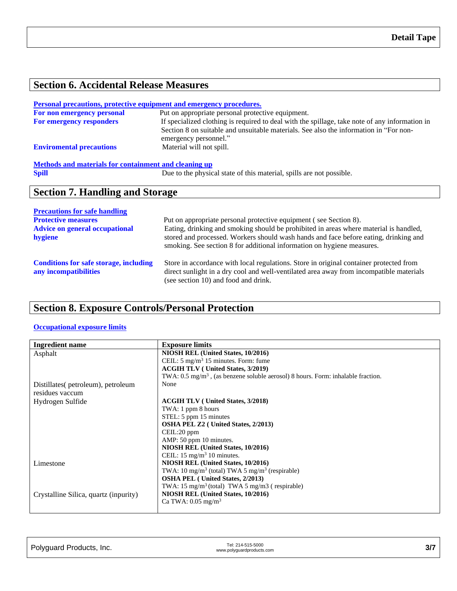# **Section 6. Accidental Release Measures**

#### **Personal precautions, protective equipment and emergency procedures.**

| For non emergency personal      | Put on appropriate personal protective equipment.                                                              |
|---------------------------------|----------------------------------------------------------------------------------------------------------------|
| <b>For emergency responders</b> | If specialized clothing is required to deal with the spillage, take note of any information in                 |
|                                 | Section 8 on suitable and unsuitable materials. See also the information in "For non-<br>emergency personnel." |
| <b>Enviromental precautions</b> | Material will not spill.                                                                                       |
|                                 |                                                                                                                |

# **Methods and materials for containment and cleaning up**<br>Spill Due to the physics

Due to the physical state of this material, spills are not possible.

## **Section 7. Handling and Storage**

| <b>Precautions for safe handling</b>                                   |                                                                                                                                                                                                                                                         |
|------------------------------------------------------------------------|---------------------------------------------------------------------------------------------------------------------------------------------------------------------------------------------------------------------------------------------------------|
| <b>Protective measures</b>                                             | Put on appropriate personal protective equipment (see Section 8).                                                                                                                                                                                       |
| <b>Advice on general occupational</b><br>hygiene                       | Eating, drinking and smoking should be prohibited in areas where material is handled,<br>stored and processed. Workers should wash hands and face before eating, drinking and<br>smoking. See section 8 for additional information on hygiene measures. |
| <b>Conditions for safe storage, including</b><br>any incompatibilities | Store in accordance with local regulations. Store in original container protected from<br>direct sunlight in a dry cool and well-ventilated area away from incompatible materials<br>(see section 10) and food and drink.                               |

## **Section 8. Exposure Controls/Personal Protection**

### **Occupational exposure limits**

| Ingredient name                       | <b>Exposure limits</b>                                                                      |
|---------------------------------------|---------------------------------------------------------------------------------------------|
| Asphalt                               | NIOSH REL (United States, 10/2016)                                                          |
|                                       | CEIL: $5 \text{ mg/m}^3$ 15 minutes. Form: fume                                             |
|                                       | <b>ACGIH TLV</b> (United States, 3/2019)                                                    |
|                                       | TWA: $0.5 \text{ mg/m}^3$ , (as benzene soluble aerosol) 8 hours. Form: inhalable fraction. |
| Distillates(petroleum), petroleum     | None                                                                                        |
| residues vaccum                       |                                                                                             |
| Hydrogen Sulfide                      | <b>ACGIH TLV</b> (United States, 3/2018)                                                    |
|                                       | TWA: 1 ppm 8 hours                                                                          |
|                                       | STEL: 5 ppm 15 minutes                                                                      |
|                                       | <b>OSHA PEL Z2</b> ( United States, 2/2013)                                                 |
|                                       | CEIL:20 ppm                                                                                 |
|                                       | AMP: 50 ppm 10 minutes.                                                                     |
|                                       | NIOSH REL (United States, 10/2016)                                                          |
|                                       | CEIL: $15 \text{ mg/m}^3$ 10 minutes.                                                       |
| Limestone                             | NIOSH REL (United States, 10/2016)                                                          |
|                                       | TWA: 10 mg/m <sup>3</sup> (total) TWA 5 mg/m <sup>3</sup> (respirable)                      |
|                                       | <b>OSHA PEL</b> (United States, 2/2013)                                                     |
|                                       | TWA: $15 \text{ mg/m}^3$ (total) TWA 5 mg/m3 (respirable)                                   |
| Crystalline Silica, quartz (inpurity) | NIOSH REL (United States, 10/2016)                                                          |
|                                       | Ca TWA: $0.05 \text{ mg/m}^3$                                                               |
|                                       |                                                                                             |

| Polyguard Products, Inc. | Tel: 214-515-5000<br>www.polyguardproducts.com | 3/7 |
|--------------------------|------------------------------------------------|-----|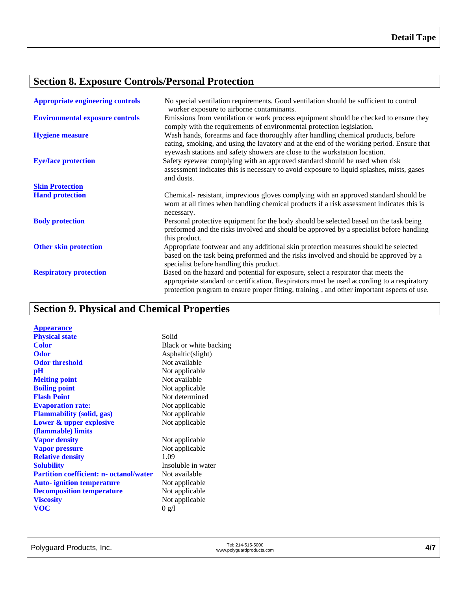# **Section 8. Exposure Controls/Personal Protection**

| <b>Appropriate engineering controls</b> | No special ventilation requirements. Good ventilation should be sufficient to control<br>worker exposure to airborne contaminants.                                                                                                                                             |
|-----------------------------------------|--------------------------------------------------------------------------------------------------------------------------------------------------------------------------------------------------------------------------------------------------------------------------------|
| <b>Environmental exposure controls</b>  | Emissions from ventilation or work process equipment should be checked to ensure they<br>comply with the requirements of environmental protection legislation.                                                                                                                 |
| <b>Hygiene measure</b>                  | Wash hands, forearms and face thoroughly after handling chemical products, before<br>eating, smoking, and using the lavatory and at the end of the working period. Ensure that<br>eyewash stations and safety showers are close to the workstation location.                   |
| <b>Eye/face protection</b>              | Safety eyewear complying with an approved standard should be used when risk<br>assessment indicates this is necessary to avoid exposure to liquid splashes, mists, gases<br>and dusts.                                                                                         |
| <b>Skin Protection</b>                  |                                                                                                                                                                                                                                                                                |
| <b>Hand protection</b>                  | Chemical-resistant, imprevious gloves complying with an approved standard should be<br>worn at all times when handling chemical products if a risk assessment indicates this is<br>necessary.                                                                                  |
| <b>Body protection</b>                  | Personal protective equipment for the body should be selected based on the task being<br>preformed and the risks involved and should be approved by a specialist before handling<br>this product.                                                                              |
| <b>Other skin protection</b>            | Appropriate footwear and any additional skin protection measures should be selected<br>based on the task being preformed and the risks involved and should be approved by a<br>specialist before handling this product.                                                        |
| <b>Respiratory protection</b>           | Based on the hazard and potential for exposure, select a respirator that meets the<br>appropriate standard or certification. Respirators must be used according to a respiratory<br>protection program to ensure proper fitting, training, and other important aspects of use. |

# **Section 9. Physical and Chemical Properties**

| <b>Appearance</b>                              |                        |
|------------------------------------------------|------------------------|
| <b>Physical state</b>                          | Solid                  |
| Color                                          | Black or white backing |
| <b>Odor</b>                                    | Asphaltic(slight)      |
| <b>Odor threshold</b>                          | Not available          |
| $\mathbf{p}$ H                                 | Not applicable         |
| <b>Melting point</b>                           | Not available          |
| <b>Boiling point</b>                           | Not applicable         |
| <b>Flash Point</b>                             | Not determined         |
| <b>Evaporation rate:</b>                       | Not applicable         |
| <b>Flammability (solid, gas)</b>               | Not applicable         |
| Lower & upper explosive                        | Not applicable         |
| (flammable) limits                             |                        |
| <b>Vapor density</b>                           | Not applicable         |
| <b>Vapor pressure</b>                          | Not applicable         |
| <b>Relative density</b>                        | 1.09                   |
| <b>Solubility</b>                              | Insoluble in water     |
| <b>Partition coefficient: n- octanol/water</b> | Not available          |
| <b>Auto-</b> ignition temperature              | Not applicable         |
| <b>Decomposition temperature</b>               | Not applicable         |
| <b>Viscosity</b>                               | Not applicable         |
| <b>VOC</b>                                     | 0 g/l                  |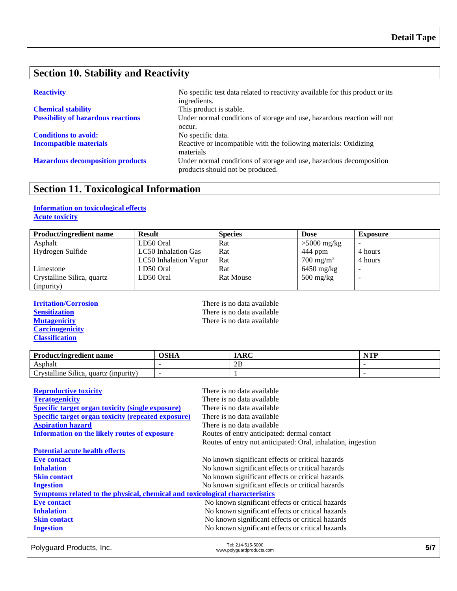## **Section 10. Stability and Reactivity**

| <b>Chemical stability</b>                 |  |  |
|-------------------------------------------|--|--|
| <b>Possibility of hazardous reactions</b> |  |  |

**Conditions to avoid:** No specific data.

**Reactivity** No specific test data related to reactivity available for this product or its ingredients. This product is stable. Under normal conditions of storage and use, hazardous reaction will not occur. **Incompatible materials** Reactive or incompatible with the following materials: Oxidizing materials **Hazardous decomposition products** Under normal conditions of storage and use, hazardous decomposition products should not be produced.

## **Section 11. Toxicological Information**

#### **Information on toxicological effects Acute toxicity**

| <b>Product/ingredient name</b> | <b>Result</b>         | <b>Species</b>   | <b>Dose</b>                       | <b>Exposure</b> |
|--------------------------------|-----------------------|------------------|-----------------------------------|-----------------|
| Asphalt                        | LD50 Oral             | Rat              | $>5000$ mg/kg                     |                 |
| Hydrogen Sulfide               | LC50 Inhalation Gas   | Rat              | $444$ ppm                         | 4 hours         |
|                                | LC50 Inhalation Vapor | Rat              | $700 \text{ mg/m}^3$              | 4 hours         |
| Limestone                      | LD50 Oral             | Rat              | $6450$ mg/kg                      | -               |
| Crystalline Silica, quartz     | LD50 Oral             | <b>Rat Mouse</b> | $500 \frac{\text{mg}}{\text{kg}}$ |                 |
| (inpurity)                     |                       |                  |                                   |                 |

**Carcinogenicity Classification**

**Irritation/Corrosion**<br> **IFREP SERVIER SERVIER SERVIER SERVIER SERVIER SERVIER SERVIER SERVIER SERVIER SERVIER SERVIER SERVIER SERVIER SERVIER SERVIER SERVIER SERVIER SERVIER SERVIER SERVIER SERVIER SERVIER SERVIER SERVIER** There is no data available **Mutagenicity** There is no data available

| <b>Product/ingredient name</b>                                             | OSHA | <b>IARC</b> | $\blacksquare$ |
|----------------------------------------------------------------------------|------|-------------|----------------|
| Asphalt                                                                    |      | 2B          |                |
| $\sim \cdot \cdot \cdot$<br>11.<br>rvstalline Silica.<br>quartz (inpurity) |      |             |                |

| <b>Reproductive toxicity</b>                                                 | There is no data available                                   |
|------------------------------------------------------------------------------|--------------------------------------------------------------|
| <b>Teratogenicity</b>                                                        | There is no data available                                   |
| <b>Specific target organ toxicity (single exposure)</b>                      | There is no data available                                   |
| <b>Specific target organ toxicity (repeated exposure)</b>                    | There is no data available                                   |
| <b>Aspiration hazard</b>                                                     | There is no data available                                   |
| <b>Information on the likely routes of exposure</b>                          | Routes of entry anticipated: dermal contact                  |
|                                                                              | Routes of entry not anticipated: Oral, inhalation, ingestion |
| <b>Potential acute health effects</b>                                        |                                                              |
| <b>Eye contact</b>                                                           | No known significant effects or critical hazards             |
| <b>Inhalation</b>                                                            | No known significant effects or critical hazards             |
| <b>Skin contact</b>                                                          | No known significant effects or critical hazards             |
| <b>Ingestion</b>                                                             | No known significant effects or critical hazards             |
| Symptoms related to the physical, chemical and toxicological characteristics |                                                              |
| <b>Eye contact</b>                                                           | No known significant effects or critical hazards             |
| <b>Inhalation</b>                                                            | No known significant effects or critical hazards             |
| <b>Skin contact</b>                                                          | No known significant effects or critical hazards             |
| <b>Ingestion</b>                                                             | No known significant effects or critical hazards             |

Polyguard Products, Inc. Tel: 214-515-5000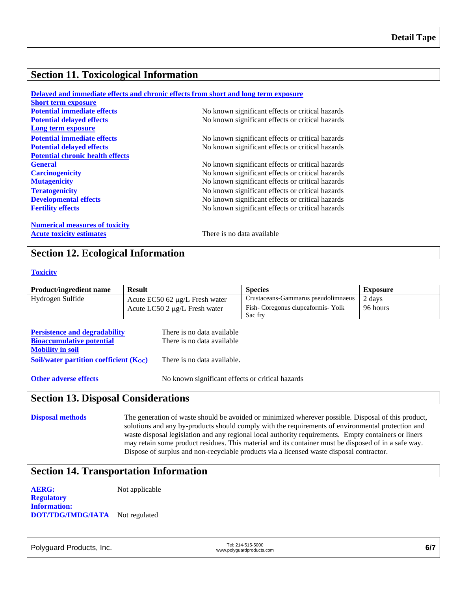## **Section 11. Toxicological Information**

|                                         | Delayed and immediate effects and chronic effects from short and long term exposure |
|-----------------------------------------|-------------------------------------------------------------------------------------|
| <b>Short term exposure</b>              |                                                                                     |
| <b>Potential immediate effects</b>      | No known significant effects or critical hazards                                    |
| <b>Potential delayed effects</b>        | No known significant effects or critical hazards                                    |
| Long term exposure                      |                                                                                     |
| <b>Potential immediate effects</b>      | No known significant effects or critical hazards                                    |
| <b>Potential delayed effects</b>        | No known significant effects or critical hazards                                    |
| <b>Potential chronic health effects</b> |                                                                                     |
| <b>General</b>                          | No known significant effects or critical hazards                                    |
| <b>Carcinogenicity</b>                  | No known significant effects or critical hazards                                    |
| <b>Mutagenicity</b>                     | No known significant effects or critical hazards                                    |
| <b>Teratogenicity</b>                   | No known significant effects or critical hazards                                    |
| <b>Developmental effects</b>            | No known significant effects or critical hazards                                    |
| <b>Fertility effects</b>                | No known significant effects or critical hazards                                    |
| <b>Numerical measures of toxicity</b>   |                                                                                     |
| <b>Acute toxicity estimates</b>         | There is no data available                                                          |

## **Section 12. Ecological Information**

#### **Toxicity**

| <b>Product/ingredient name</b> | <b>Result</b>                         | <b>Species</b>                      | Exposure |
|--------------------------------|---------------------------------------|-------------------------------------|----------|
| Hydrogen Sulfide               | Acute $EC50$ 62 $\mu$ g/L Fresh water | Crustaceans-Gammarus pseudolimnaeus | 2 days   |
|                                | Acute LC50 2 $\mu$ g/L Fresh water    | Fish-Coregonus clupeaformis-Yolk    | 96 hours |
|                                |                                       | Sac fry                             |          |

| <b>Persistence and degradability</b>          | There is no data available  |
|-----------------------------------------------|-----------------------------|
| <b>Bioaccumulative potential</b>              | There is no data available  |
| <b>Mobility in soil</b>                       |                             |
| <b>Soil/water partition coefficient (Koc)</b> | There is no data available. |
|                                               |                             |

**Other adverse effects** No known significant effects or critical hazards

## **Section 13. Disposal Considerations**

**Disposal methods** The generation of waste should be avoided or minimized wherever possible. Disposal of this product, solutions and any by-products should comply with the requirements of environmental protection and waste disposal legislation and any regional local authority requirements. Empty containers or liners may retain some product residues. This material and its container must be disposed of in a safe way. Dispose of surplus and non-recyclable products via a licensed waste disposal contractor.

## **Section 14. Transportation Information**

**AERG:** Not applicable

**Regulatory Information: DOT/TDG/IMDG/IATA** Not regulated

Polyguard Products, Inc. Tel: 214-515-5000